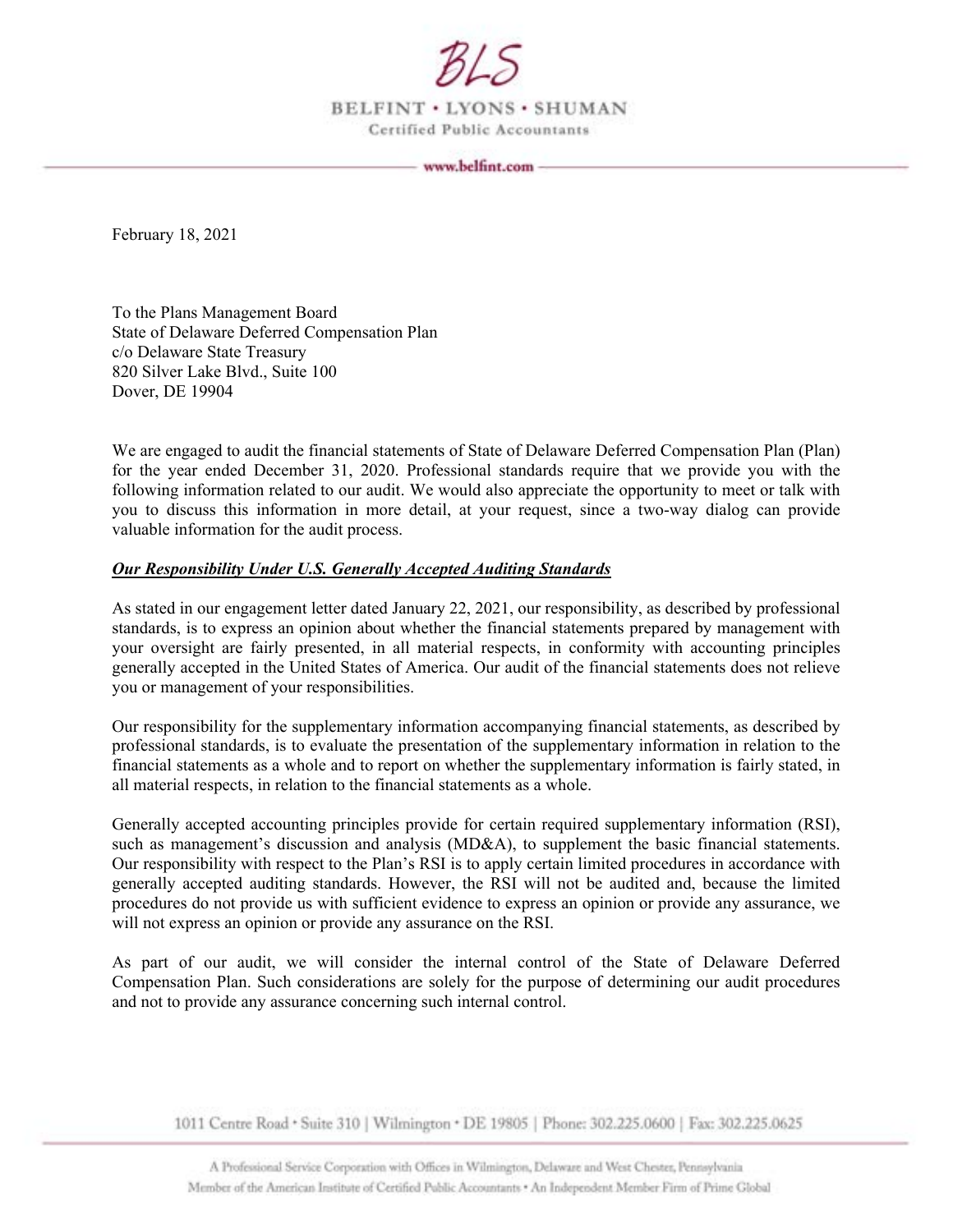

BELFINT . LYONS . SHUMAN Certified Public Accountants

www.belfint.com

February 18, 2021

To the Plans Management Board State of Delaware Deferred Compensation Plan c/o Delaware State Treasury 820 Silver Lake Blvd., Suite 100 Dover, DE 19904

We are engaged to audit the financial statements of State of Delaware Deferred Compensation Plan (Plan) for the year ended December 31, 2020. Professional standards require that we provide you with the following information related to our audit. We would also appreciate the opportunity to meet or talk with you to discuss this information in more detail, at your request, since a two-way dialog can provide valuable information for the audit process.

## *Our Responsibility Under U.S. Generally Accepted Auditing Standards*

As stated in our engagement letter dated January 22, 2021, our responsibility, as described by professional standards, is to express an opinion about whether the financial statements prepared by management with your oversight are fairly presented, in all material respects, in conformity with accounting principles generally accepted in the United States of America. Our audit of the financial statements does not relieve you or management of your responsibilities.

Our responsibility for the supplementary information accompanying financial statements, as described by professional standards, is to evaluate the presentation of the supplementary information in relation to the financial statements as a whole and to report on whether the supplementary information is fairly stated, in all material respects, in relation to the financial statements as a whole.

Generally accepted accounting principles provide for certain required supplementary information (RSI), such as management's discussion and analysis (MD&A), to supplement the basic financial statements. Our responsibility with respect to the Plan's RSI is to apply certain limited procedures in accordance with generally accepted auditing standards. However, the RSI will not be audited and, because the limited procedures do not provide us with sufficient evidence to express an opinion or provide any assurance, we will not express an opinion or provide any assurance on the RSI.

As part of our audit, we will consider the internal control of the State of Delaware Deferred Compensation Plan. Such considerations are solely for the purpose of determining our audit procedures and not to provide any assurance concerning such internal control.

1011 Centre Road • Suite 310 | Wilmington • DE 19805 | Phone: 302.225.0600 | Fax: 302.225.0625